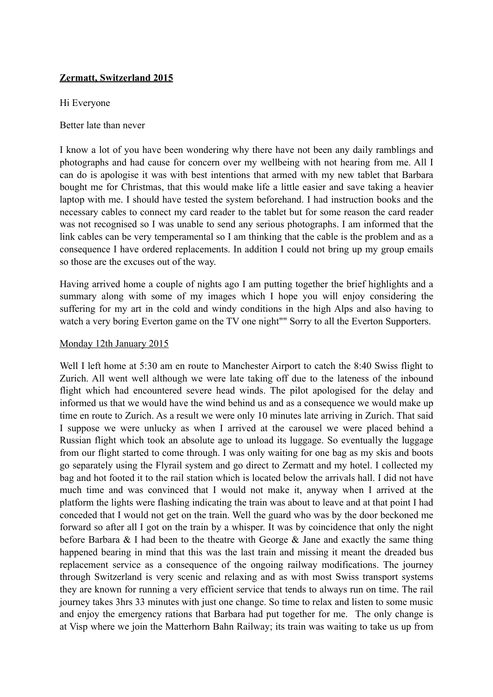## **Zermatt, Switzerland 2015**

Hi Everyone

Better late than never

I know a lot of you have been wondering why there have not been any daily ramblings and photographs and had cause for concern over my wellbeing with not hearing from me. All I can do is apologise it was with best intentions that armed with my new tablet that Barbara bought me for Christmas, that this would make life a little easier and save taking a heavier laptop with me. I should have tested the system beforehand. I had instruction books and the necessary cables to connect my card reader to the tablet but for some reason the card reader was not recognised so I was unable to send any serious photographs. I am informed that the link cables can be very temperamental so I am thinking that the cable is the problem and as a consequence I have ordered replacements. In addition I could not bring up my group emails so those are the excuses out of the way.

Having arrived home a couple of nights ago I am putting together the brief highlights and a summary along with some of my images which I hope you will enjoy considering the suffering for my art in the cold and windy conditions in the high Alps and also having to watch a very boring Everton game on the TV one night"" Sorry to all the Everton Supporters.

## Monday 12th January 2015

Well I left home at 5:30 am en route to Manchester Airport to catch the 8:40 Swiss flight to Zurich. All went well although we were late taking off due to the lateness of the inbound flight which had encountered severe head winds. The pilot apologised for the delay and informed us that we would have the wind behind us and as a consequence we would make up time en route to Zurich. As a result we were only 10 minutes late arriving in Zurich. That said I suppose we were unlucky as when I arrived at the carousel we were placed behind a Russian flight which took an absolute age to unload its luggage. So eventually the luggage from our flight started to come through. I was only waiting for one bag as my skis and boots go separately using the Flyrail system and go direct to Zermatt and my hotel. I collected my bag and hot footed it to the rail station which is located below the arrivals hall. I did not have much time and was convinced that I would not make it, anyway when I arrived at the platform the lights were flashing indicating the train was about to leave and at that point I had conceded that I would not get on the train. Well the guard who was by the door beckoned me forward so after all I got on the train by a whisper. It was by coincidence that only the night before Barbara & I had been to the theatre with George & Jane and exactly the same thing happened bearing in mind that this was the last train and missing it meant the dreaded bus replacement service as a consequence of the ongoing railway modifications. The journey through Switzerland is very scenic and relaxing and as with most Swiss transport systems they are known for running a very efficient service that tends to always run on time. The rail journey takes 3hrs 33 minutes with just one change. So time to relax and listen to some music and enjoy the emergency rations that Barbara had put together for me. The only change is at Visp where we join the Matterhorn Bahn Railway; its train was waiting to take us up from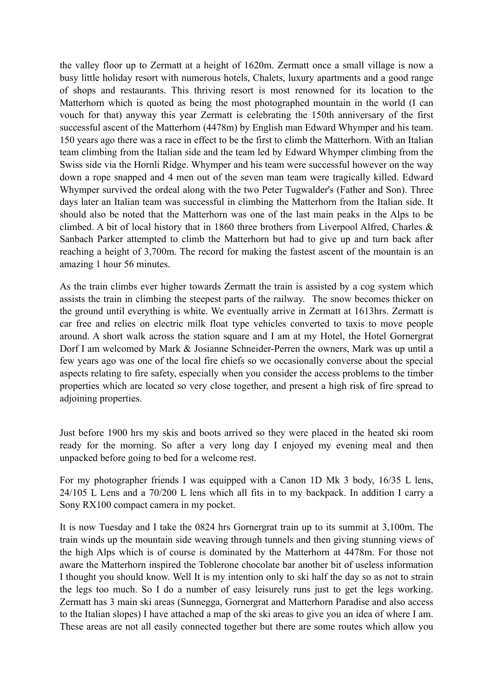the valley floor up to Zermatt at a height of 1620m. Zermatt once a small village is now a busy little holiday resort with numerous hotels, Chalets, luxury apartments and a good range of shops and restaurants. This thriving resort is most renowned for its location to the Matterhorn which is quoted as being the most photographed mountain in the world (I can vouch for that) anyway this year Zermatt is celebrating the 150th anniversary of the first successful ascent of the Matterhorn (4478m) by English man Edward Whymper and his team. 150 years ago there was a race in effect to be the first to climb the Matterhorn. With an Italian team climbing from the Italian side and the team led by Edward Whymper climbing from the Swiss side via the Hornli Ridge. Whymper and his team were successful however on the way down a rope snapped and 4 men out of the seven man team were tragically killed. Edward Whymper survived the ordeal along with the two Peter Tugwalder's (Father and Son). Three days later an Italian team was successful in climbing the Matterhorn from the Italian side. It should also be noted that the Matterhorn was one of the last main peaks in the Alps to be climbed. A bit of local history that in 1860 three brothers from Liverpool Alfred, Charles & Sanbach Parker attempted to climb the Matterhorn but had to give up and turn back after reaching a height of 3,700m. The record for making the fastest ascent of the mountain is an amazing 1 hour 56 minutes.

As the train climbs ever higher towards Zermatt the train is assisted by a cog system which assists the train in climbing the steepest parts of the railway. The snow becomes thicker on the ground until everything is white. We eventually arrive in Zermatt at 1613hrs. Zermatt is car free and relies on electric milk float type vehicles converted to taxis to move people around. A short walk across the station square and I am at my Hotel, the Hotel Gornergrat Dorf I am welcomed by Mark & Josianne Schneider-Perren the owners, Mark was up until a few years ago was one of the local fire chiefs so we occasionally converse about the special aspects relating to fire safety, especially when you consider the access problems to the timber properties which are located so very close together, and present a high risk of fire spread to adjoining properties.

Just before 1900 hrs my skis and boots arrived so they were placed in the heated ski room ready for the morning. So after a very long day I enjoyed my evening meal and then unpacked before going to bed for a welcome rest.

For my photographer friends I was equipped with a Canon 1D Mk 3 body, 16/35 L lens, 24/105 L Lens and a 70/200 L lens which all fits in to my backpack. In addition I carry a Sony RX100 compact camera in my pocket.

It is now Tuesday and I take the 0824 hrs Gornergrat train up to its summit at 3,100m. The train winds up the mountain side weaving through tunnels and then giving stunning views of the high Alps which is of course is dominated by the Matterhorn at 4478m. For those not aware the Matterhorn inspired the Toblerone chocolate bar another bit of useless information I thought you should know. Well It is my intention only to ski half the day so as not to strain the legs too much. So I do a number of easy leisurely runs just to get the legs working. Zermatt has 3 main ski areas (Sunnegga, Gornergrat and Matterhorn Paradise and also access to the Italian slopes) I have attached a map of the ski areas to give you an idea of where I am. These areas are not all easily connected together but there are some routes which allow you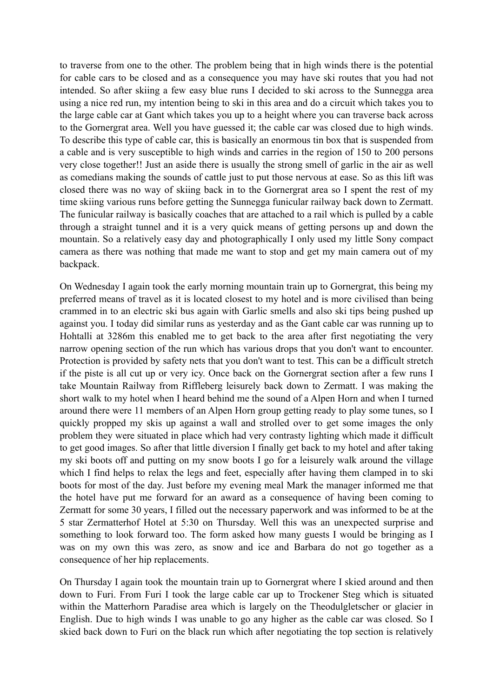to traverse from one to the other. The problem being that in high winds there is the potential for cable cars to be closed and as a consequence you may have ski routes that you had not intended. So after skiing a few easy blue runs I decided to ski across to the Sunnegga area using a nice red run, my intention being to ski in this area and do a circuit which takes you to the large cable car at Gant which takes you up to a height where you can traverse back across to the Gornergrat area. Well you have guessed it; the cable car was closed due to high winds. To describe this type of cable car, this is basically an enormous tin box that is suspended from a cable and is very susceptible to high winds and carries in the region of 150 to 200 persons very close together!! Just an aside there is usually the strong smell of garlic in the air as well as comedians making the sounds of cattle just to put those nervous at ease. So as this lift was closed there was no way of skiing back in to the Gornergrat area so I spent the rest of my time skiing various runs before getting the Sunnegga funicular railway back down to Zermatt. The funicular railway is basically coaches that are attached to a rail which is pulled by a cable through a straight tunnel and it is a very quick means of getting persons up and down the mountain. So a relatively easy day and photographically I only used my little Sony compact camera as there was nothing that made me want to stop and get my main camera out of my backpack.

On Wednesday I again took the early morning mountain train up to Gornergrat, this being my preferred means of travel as it is located closest to my hotel and is more civilised than being crammed in to an electric ski bus again with Garlic smells and also ski tips being pushed up against you. I today did similar runs as yesterday and as the Gant cable car was running up to Hohtalli at 3286m this enabled me to get back to the area after first negotiating the very narrow opening section of the run which has various drops that you don't want to encounter. Protection is provided by safety nets that you don't want to test. This can be a difficult stretch if the piste is all cut up or very icy. Once back on the Gornergrat section after a few runs I take Mountain Railway from Riffleberg leisurely back down to Zermatt. I was making the short walk to my hotel when I heard behind me the sound of a Alpen Horn and when I turned around there were 11 members of an Alpen Horn group getting ready to play some tunes, so I quickly propped my skis up against a wall and strolled over to get some images the only problem they were situated in place which had very contrasty lighting which made it difficult to get good images. So after that little diversion I finally get back to my hotel and after taking my ski boots off and putting on my snow boots I go for a leisurely walk around the village which I find helps to relax the legs and feet, especially after having them clamped in to ski boots for most of the day. Just before my evening meal Mark the manager informed me that the hotel have put me forward for an award as a consequence of having been coming to Zermatt for some 30 years, I filled out the necessary paperwork and was informed to be at the 5 star Zermatterhof Hotel at 5:30 on Thursday. Well this was an unexpected surprise and something to look forward too. The form asked how many guests I would be bringing as I was on my own this was zero, as snow and ice and Barbara do not go together as a consequence of her hip replacements.

On Thursday I again took the mountain train up to Gornergrat where I skied around and then down to Furi. From Furi I took the large cable car up to Trockener Steg which is situated within the Matterhorn Paradise area which is largely on the Theodulgletscher or glacier in English. Due to high winds I was unable to go any higher as the cable car was closed. So I skied back down to Furi on the black run which after negotiating the top section is relatively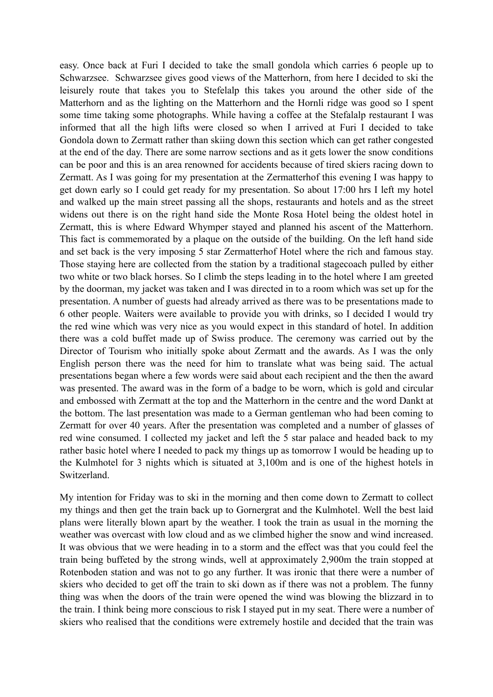easy. Once back at Furi I decided to take the small gondola which carries 6 people up to Schwarzsee. Schwarzsee gives good views of the Matterhorn, from here I decided to ski the leisurely route that takes you to Stefelalp this takes you around the other side of the Matterhorn and as the lighting on the Matterhorn and the Hornli ridge was good so I spent some time taking some photographs. While having a coffee at the Stefalalp restaurant I was informed that all the high lifts were closed so when I arrived at Furi I decided to take Gondola down to Zermatt rather than skiing down this section which can get rather congested at the end of the day. There are some narrow sections and as it gets lower the snow conditions can be poor and this is an area renowned for accidents because of tired skiers racing down to Zermatt. As I was going for my presentation at the Zermatterhof this evening I was happy to get down early so I could get ready for my presentation. So about 17:00 hrs I left my hotel and walked up the main street passing all the shops, restaurants and hotels and as the street widens out there is on the right hand side the Monte Rosa Hotel being the oldest hotel in Zermatt, this is where Edward Whymper stayed and planned his ascent of the Matterhorn. This fact is commemorated by a plaque on the outside of the building. On the left hand side and set back is the very imposing 5 star Zermatterhof Hotel where the rich and famous stay. Those staying here are collected from the station by a traditional stagecoach pulled by either two white or two black horses. So I climb the steps leading in to the hotel where I am greeted by the doorman, my jacket was taken and I was directed in to a room which was set up for the presentation. A number of guests had already arrived as there was to be presentations made to 6 other people. Waiters were available to provide you with drinks, so I decided I would try the red wine which was very nice as you would expect in this standard of hotel. In addition there was a cold buffet made up of Swiss produce. The ceremony was carried out by the Director of Tourism who initially spoke about Zermatt and the awards. As I was the only English person there was the need for him to translate what was being said. The actual presentations began where a few words were said about each recipient and the then the award was presented. The award was in the form of a badge to be worn, which is gold and circular and embossed with Zermatt at the top and the Matterhorn in the centre and the word Dankt at the bottom. The last presentation was made to a German gentleman who had been coming to Zermatt for over 40 years. After the presentation was completed and a number of glasses of red wine consumed. I collected my jacket and left the 5 star palace and headed back to my rather basic hotel where I needed to pack my things up as tomorrow I would be heading up to the Kulmhotel for 3 nights which is situated at 3,100m and is one of the highest hotels in Switzerland.

My intention for Friday was to ski in the morning and then come down to Zermatt to collect my things and then get the train back up to Gornergrat and the Kulmhotel. Well the best laid plans were literally blown apart by the weather. I took the train as usual in the morning the weather was overcast with low cloud and as we climbed higher the snow and wind increased. It was obvious that we were heading in to a storm and the effect was that you could feel the train being buffeted by the strong winds, well at approximately 2,900m the train stopped at Rotenboden station and was not to go any further. It was ironic that there were a number of skiers who decided to get off the train to ski down as if there was not a problem. The funny thing was when the doors of the train were opened the wind was blowing the blizzard in to the train. I think being more conscious to risk I stayed put in my seat. There were a number of skiers who realised that the conditions were extremely hostile and decided that the train was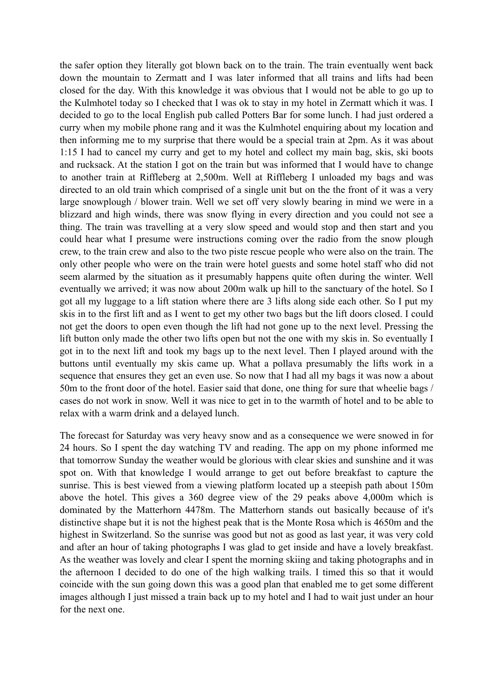the safer option they literally got blown back on to the train. The train eventually went back down the mountain to Zermatt and I was later informed that all trains and lifts had been closed for the day. With this knowledge it was obvious that I would not be able to go up to the Kulmhotel today so I checked that I was ok to stay in my hotel in Zermatt which it was. I decided to go to the local English pub called Potters Bar for some lunch. I had just ordered a curry when my mobile phone rang and it was the Kulmhotel enquiring about my location and then informing me to my surprise that there would be a special train at 2pm. As it was about 1:15 I had to cancel my curry and get to my hotel and collect my main bag, skis, ski boots and rucksack. At the station I got on the train but was informed that I would have to change to another train at Riffleberg at 2,500m. Well at Riffleberg I unloaded my bags and was directed to an old train which comprised of a single unit but on the the front of it was a very large snowplough / blower train. Well we set off very slowly bearing in mind we were in a blizzard and high winds, there was snow flying in every direction and you could not see a thing. The train was travelling at a very slow speed and would stop and then start and you could hear what I presume were instructions coming over the radio from the snow plough crew, to the train crew and also to the two piste rescue people who were also on the train. The only other people who were on the train were hotel guests and some hotel staff who did not seem alarmed by the situation as it presumably happens quite often during the winter. Well eventually we arrived; it was now about 200m walk up hill to the sanctuary of the hotel. So I got all my luggage to a lift station where there are 3 lifts along side each other. So I put my skis in to the first lift and as I went to get my other two bags but the lift doors closed. I could not get the doors to open even though the lift had not gone up to the next level. Pressing the lift button only made the other two lifts open but not the one with my skis in. So eventually I got in to the next lift and took my bags up to the next level. Then I played around with the buttons until eventually my skis came up. What a pollava presumably the lifts work in a sequence that ensures they get an even use. So now that I had all my bags it was now a about 50m to the front door of the hotel. Easier said that done, one thing for sure that wheelie bags / cases do not work in snow. Well it was nice to get in to the warmth of hotel and to be able to relax with a warm drink and a delayed lunch.

The forecast for Saturday was very heavy snow and as a consequence we were snowed in for 24 hours. So I spent the day watching TV and reading. The app on my phone informed me that tomorrow Sunday the weather would be glorious with clear skies and sunshine and it was spot on. With that knowledge I would arrange to get out before breakfast to capture the sunrise. This is best viewed from a viewing platform located up a steepish path about 150m above the hotel. This gives a 360 degree view of the 29 peaks above 4,000m which is dominated by the Matterhorn 4478m. The Matterhorn stands out basically because of it's distinctive shape but it is not the highest peak that is the Monte Rosa which is 4650m and the highest in Switzerland. So the sunrise was good but not as good as last year, it was very cold and after an hour of taking photographs I was glad to get inside and have a lovely breakfast. As the weather was lovely and clear I spent the morning skiing and taking photographs and in the afternoon I decided to do one of the high walking trails. I timed this so that it would coincide with the sun going down this was a good plan that enabled me to get some different images although I just missed a train back up to my hotel and I had to wait just under an hour for the next one.